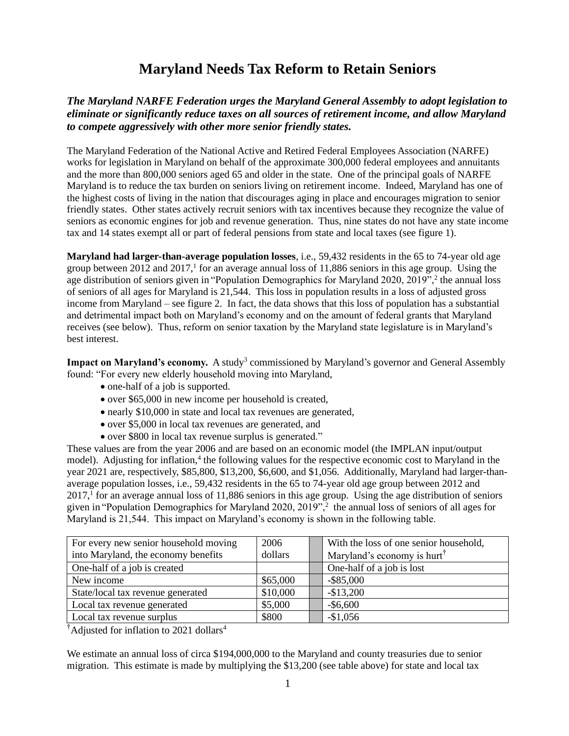## **Maryland Needs Tax Reform to Retain Seniors**

### *The Maryland NARFE Federation urges the Maryland General Assembly to adopt legislation to eliminate or significantly reduce taxes on all sources of retirement income, and allow Maryland to compete aggressively with other more senior friendly states.*

The Maryland Federation of the National Active and Retired Federal Employees Association (NARFE) works for legislation in Maryland on behalf of the approximate 300,000 federal employees and annuitants and the more than 800,000 seniors aged 65 and older in the state. One of the principal goals of NARFE Maryland is to reduce the tax burden on seniors living on retirement income. Indeed, Maryland has one of the highest costs of living in the nation that discourages aging in place and encourages migration to senior friendly states. Other states actively recruit seniors with tax incentives because they recognize the value of seniors as economic engines for job and revenue generation. Thus, nine states do not have any state income tax and 14 states exempt all or part of federal pensions from state and local taxes (see figure 1).

**Maryland had larger-than-average population losses**, i.e., 59,432 residents in the 65 to 74-year old age group between 2012 and 2017,<sup>1</sup> for an average annual loss of 11,886 seniors in this age group. Using the age distribution of seniors given in "Population Demographics for Maryland 2020, 2019",<sup>2</sup> the annual loss of seniors of all ages for Maryland is 21,544. This loss in population results in a loss of adjusted gross income from Maryland – see figure 2. In fact, the data shows that this loss of population has a substantial and detrimental impact both on Maryland's economy and on the amount of federal grants that Maryland receives (see below). Thus, reform on senior taxation by the Maryland state legislature is in Maryland's best interest.

Impact on Maryland's economy. A study<sup>3</sup> commissioned by Maryland's governor and General Assembly found: "For every new elderly household moving into Maryland,

- one-half of a job is supported.
- over \$65,000 in new income per household is created,
- nearly \$10,000 in state and local tax revenues are generated,
- over \$5,000 in local tax revenues are generated, and
- over \$800 in local tax revenue surplus is generated."

These values are from the year 2006 and are based on an economic model (the IMPLAN input/output model). Adjusting for inflation,<sup>4</sup> the following values for the respective economic cost to Maryland in the year 2021 are, respectively, \$85,800, \$13,200, \$6,600, and \$1,056. Additionally, Maryland had larger-thanaverage population losses, i.e., 59,432 residents in the 65 to 74-year old age group between 2012 and  $2017<sup>1</sup>$  for an average annual loss of 11,886 seniors in this age group. Using the age distribution of seniors given in "Population Demographics for Maryland 2020, 2019",<sup>2</sup> the annual loss of seniors of all ages for Maryland is 21,544. This impact on Maryland's economy is shown in the following table.

| For every new senior household moving | 2006     | With the loss of one senior household,  |
|---------------------------------------|----------|-----------------------------------------|
| into Maryland, the economy benefits   | dollars  | Maryland's economy is hurt <sup>†</sup> |
| One-half of a job is created          |          | One-half of a job is lost               |
| New income                            | \$65,000 | $-$ \$85,000                            |
| State/local tax revenue generated     | \$10,000 | $-$13,200$                              |
| Local tax revenue generated           | \$5,000  | $-$ \$6,600                             |
| Local tax revenue surplus             | \$800    | $-$1,056$                               |

<sup>†</sup>Adjusted for inflation to 2021 dollars<sup>4</sup>

We estimate an annual loss of circa \$194,000,000 to the Maryland and county treasuries due to senior migration. This estimate is made by multiplying the \$13,200 (see table above) for state and local tax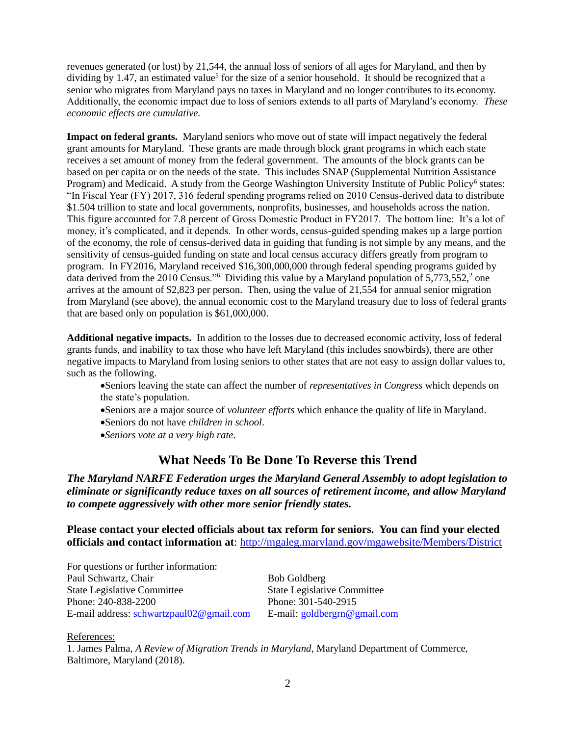revenues generated (or lost) by 21,544, the annual loss of seniors of all ages for Maryland, and then by dividing by 1.47, an estimated value<sup>5</sup> for the size of a senior household. It should be recognized that a senior who migrates from Maryland pays no taxes in Maryland and no longer contributes to its economy. Additionally, the economic impact due to loss of seniors extends to all parts of Maryland's economy. *These economic effects are cumulative.*

**Impact on federal grants.** Maryland seniors who move out of state will impact negatively the federal grant amounts for Maryland. These grants are made through block grant programs in which each state receives a set amount of money from the federal government. The amounts of the block grants can be based on per capita or on the needs of the state. This includes SNAP (Supplemental Nutrition Assistance Program) and Medicaid. A study from the George Washington University Institute of Public Policy<sup>6</sup> states: "In Fiscal Year (FY) 2017, 316 federal spending programs relied on 2010 Census-derived data to distribute \$1.504 trillion to state and local governments, nonprofits, businesses, and households across the nation. This figure accounted for 7.8 percent of Gross Domestic Product in FY2017. The bottom line: It's a lot of money, it's complicated, and it depends. In other words, census-guided spending makes up a large portion of the economy, the role of census-derived data in guiding that funding is not simple by any means, and the sensitivity of census-guided funding on state and local census accuracy differs greatly from program to program. In FY2016, Maryland received \$16,300,000,000 through federal spending programs guided by data derived from the 2010 Census."<sup>6</sup> Dividing this value by a Maryland population of 5,773,552,<sup>2</sup> one arrives at the amount of \$2,823 per person. Then, using the value of 21,554 for annual senior migration from Maryland (see above), the annual economic cost to the Maryland treasury due to loss of federal grants that are based only on population is \$61,000,000.

**Additional negative impacts.** In addition to the losses due to decreased economic activity, loss of federal grants funds, and inability to tax those who have left Maryland (this includes snowbirds), there are other negative impacts to Maryland from losing seniors to other states that are not easy to assign dollar values to, such as the following.

•Seniors leaving the state can affect the number of *representatives in Congress* which depends on the state's population.

- •Seniors are a major source of *volunteer efforts* which enhance the quality of life in Maryland.
- •Seniors do not have *children in school*.
- •*Seniors vote at a very high rate.*

### **What Needs To Be Done To Reverse this Trend**

*The Maryland NARFE Federation urges the Maryland General Assembly to adopt legislation to eliminate or significantly reduce taxes on all sources of retirement income, and allow Maryland to compete aggressively with other more senior friendly states.* 

**Please contact your elected officials about tax reform for seniors. You can find your elected officials and contact information at**: <http://mgaleg.maryland.gov/mgawebsite/Members/District>

For questions or further information: Paul Schwartz, Chair Bob Goldberg State Legislative Committee State Legislative Committee Phone: 240-838-2200 Phone: 301-540-2915<br>
E-mail address: schwartzpaul02@gmail.com E-mail: goldbergrn@gmail.com E-mail address: [schwartzpaul02@gmail.com](mailto:schwartzpaul02@gmail.com)

#### References:

1. James Palma, *A Review of Migration Trends in Maryland*, Maryland Department of Commerce, Baltimore, Maryland (2018).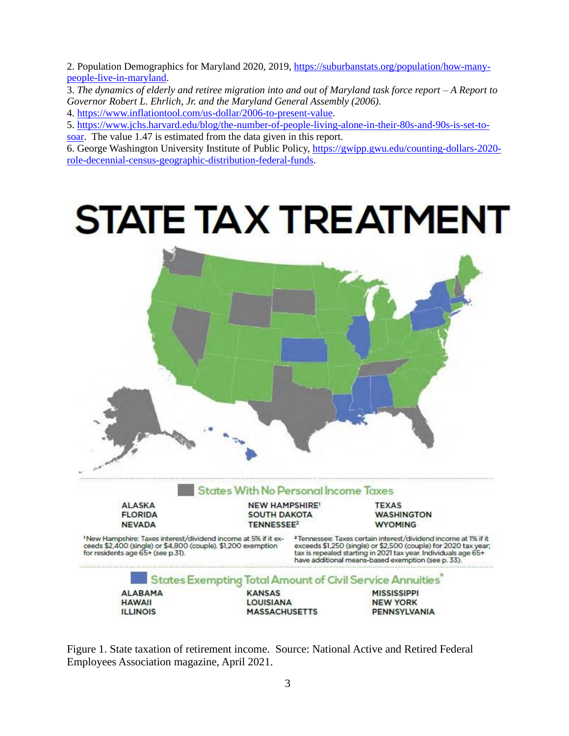2. Population Demographics for Maryland 2020, 2019, [https://suburbanstats.org/population/how-many](https://suburbanstats.org/population/how-many-people-live-in-maryland)[people-live-in-maryland.](https://suburbanstats.org/population/how-many-people-live-in-maryland)

3. *The dynamics of elderly and retiree migration into and out of Maryland task force report* – *A Report to Governor Robert L. Ehrlich, Jr. and the Maryland General Assembly (2006).*

4. [https://www.inflationtool.com/us-dollar/2006-to-present-value.](https://www.inflationtool.com/us-dollar/2006-to-present-value)

5. [https://www.jchs.harvard.edu/blog/the-number-of-people-living-alone-in-their-80s-and-90s-is-set-to-](https://www.jchs.harvard.edu/blog/the-number-of-people-living-alone-in-their-80s-and-90s-is-set-to-soar)

[soar.](https://www.jchs.harvard.edu/blog/the-number-of-people-living-alone-in-their-80s-and-90s-is-set-to-soar) The value 1.47 is estimated from the data given in this report.

6. George Washington University Institute of Public Policy, [https://gwipp.gwu.edu/counting-dollars-2020](https://gwipp.gwu.edu/counting-dollars-2020-role-decennial-census-geographic-distribution-federal-funds) [role-decennial-census-geographic-distribution-federal-funds.](https://gwipp.gwu.edu/counting-dollars-2020-role-decennial-census-geographic-distribution-federal-funds)



Figure 1. State taxation of retirement income. Source: National Active and Retired Federal Employees Association magazine, April 2021.